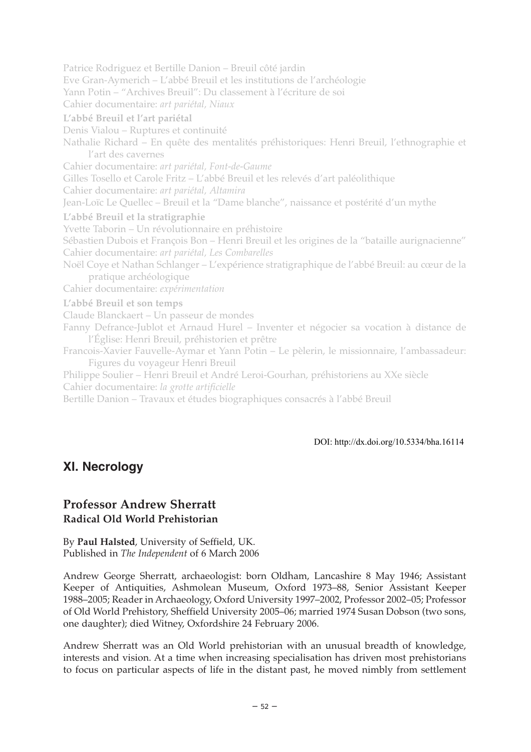Patrice Rodriguez et Bertille Danion – Breuil côté jardin Eve Gran-Aymerich – L'abbé Breuil et les institutions de l'archéologie Yann Potin – "Archives Breuil": Du classement à l'écriture de soi Cahier documentaire: *art pariétal, Niaux* **L'abbé Breuil et l'art pariétal** Denis Vialou – Ruptures et continuité Nathalie Richard – En quête des mentalités préhistoriques: Henri Breuil, l'ethnographie et l'art des cavernes Cahier documentaire: *art pariétal, Font-de-Gaume* Gilles Tosello et Carole Fritz – L'abbé Breuil et les relevés d'art paléolithique Cahier documentaire: *art pariétal, Altamira* Jean-Loïc Le Quellec – Breuil et la "Dame blanche", naissance et postérité d'un mythe **L'abbé Breuil et la stratigraphie** Yvette Taborin – Un révolutionnaire en préhistoire Sébastien Dubois et François Bon – Henri Breuil et les origines de la "bataille aurignacienne" Cahier documentaire: *art pariétal, Les Combarelles* Noël Coye et Nathan Schlanger – L'expérience stratigraphique de l'abbé Breuil: au cœur de la pratique archéologique Cahier documentaire: *expérimentation* **L'abbé Breuil et son temps** Claude Blanckaert – Un passeur de mondes Fanny Defrance-Jublot et Arnaud Hurel – Inventer et négocier sa vocation à distance de l'Église: Henri Breuil, préhistorien et prêtre Francois-Xavier Fauvelle-Aymar et Yann Potin – Le pèlerin, le missionnaire, l'ambassadeur: Figures du voyageur Henri Breuil Philippe Soulier – Henri Breuil et André Leroi-Gourhan, préhistoriens au XXe siècle Cahier documentaire: *la grotte artificielle*

Bertille Danion – Travaux et études biographiques consacrés à l'abbé Breuil

DOI: http://dx.doi.org/10.5334/bha.16114

## **XI. Necrology**

## **Professor Andrew Sherratt Radical Old World Prehistorian**

By **Paul Halsted**, University of Seffield, UK. Published in *The Independent* of 6 March 2006

Andrew George Sherratt, archaeologist: born Oldham, Lancashire 8 May 1946; Assistant Keeper of Antiquities, Ashmolean Museum, Oxford 1973–88, Senior Assistant Keeper 1988–2005; Reader in Archaeology, Oxford University 1997–2002, Professor 2002–05; Professor of Old World Prehistory, Sheffield University 2005–06; married 1974 Susan Dobson (two sons, one daughter); died Witney, Oxfordshire 24 February 2006.

Andrew Sherratt was an Old World prehistorian with an unusual breadth of knowledge, interests and vision. At a time when increasing specialisation has driven most prehistorians to focus on particular aspects of life in the distant past, he moved nimbly from settlement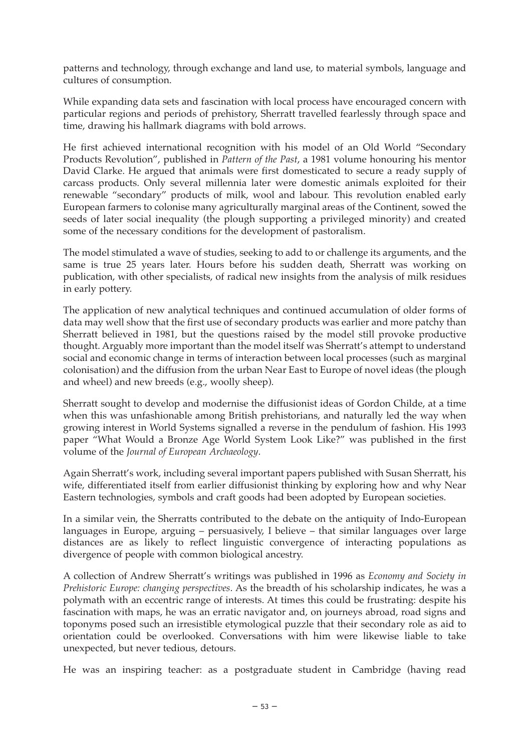patterns and technology, through exchange and land use, to material symbols, language and cultures of consumption.

While expanding data sets and fascination with local process have encouraged concern with particular regions and periods of prehistory, Sherratt travelled fearlessly through space and time, drawing his hallmark diagrams with bold arrows.

He first achieved international recognition with his model of an Old World "Secondary Products Revolution", published in *Pattern of the Past*, a 1981 volume honouring his mentor David Clarke. He argued that animals were first domesticated to secure a ready supply of carcass products. Only several millennia later were domestic animals exploited for their renewable "secondary" products of milk, wool and labour. This revolution enabled early European farmers to colonise many agriculturally marginal areas of the Continent, sowed the seeds of later social inequality (the plough supporting a privileged minority) and created some of the necessary conditions for the development of pastoralism.

The model stimulated a wave of studies, seeking to add to or challenge its arguments, and the same is true 25 years later. Hours before his sudden death, Sherratt was working on publication, with other specialists, of radical new insights from the analysis of milk residues in early pottery.

The application of new analytical techniques and continued accumulation of older forms of data may well show that the first use of secondary products was earlier and more patchy than Sherratt believed in 1981, but the questions raised by the model still provoke productive thought. Arguably more important than the model itself was Sherratt's attempt to understand social and economic change in terms of interaction between local processes (such as marginal colonisation) and the diffusion from the urban Near East to Europe of novel ideas (the plough and wheel) and new breeds (e.g., woolly sheep).

Sherratt sought to develop and modernise the diffusionist ideas of Gordon Childe, at a time when this was unfashionable among British prehistorians, and naturally led the way when growing interest in World Systems signalled a reverse in the pendulum of fashion. His 1993 paper "What Would a Bronze Age World System Look Like?" was published in the first volume of the *Journal of European Archaeology*.

Again Sherratt's work, including several important papers published with Susan Sherratt, his wife, differentiated itself from earlier diffusionist thinking by exploring how and why Near Eastern technologies, symbols and craft goods had been adopted by European societies.

In a similar vein, the Sherratts contributed to the debate on the antiquity of Indo-European languages in Europe, arguing – persuasively, I believe – that similar languages over large distances are as likely to reflect linguistic convergence of interacting populations as divergence of people with common biological ancestry.

A collection of Andrew Sherratt's writings was published in 1996 as *Economy and Society in Prehistoric Europe: changing perspectives*. As the breadth of his scholarship indicates, he was a polymath with an eccentric range of interests. At times this could be frustrating: despite his fascination with maps, he was an erratic navigator and, on journeys abroad, road signs and toponyms posed such an irresistible etymological puzzle that their secondary role as aid to orientation could be overlooked. Conversations with him were likewise liable to take unexpected, but never tedious, detours.

He was an inspiring teacher: as a postgraduate student in Cambridge (having read